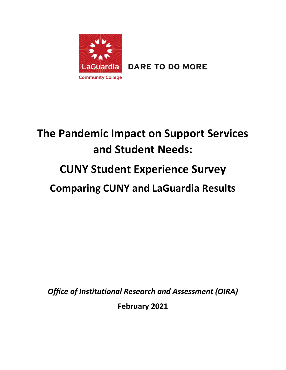

**DARE TO DO MORE** 

# **The Pandemic Impact on Support Services and Student Needs: CUNY Student Experience Survey Comparing CUNY and LaGuardia Results**

*Office of Institutional Research and Assessment (OIRA)*

**February 2021**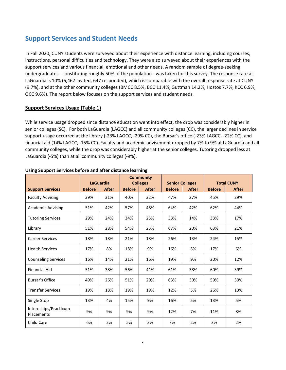# **Support Services and Student Needs**

In Fall 2020, CUNY students were surveyed about their experience with distance learning, including courses, instructions, personal difficulties and technology. They were also surveyed about their experiences with the support services and various financial, emotional and other needs. A random sample of degree-seeking undergraduates - constituting roughly 50% of the population - was taken for this survey. The response rate at LaGuardia is 10% (6,462 invited, 647 responded), which is comparable with the overall response rate at CUNY (9.7%), and at the other community colleges (BMCC 8.5%, BCC 11.4%, Guttman 14.2%, Hostos 7.7%, KCC 6.9%, QCC 9.6%). The report below focuses on the support services and student needs.

# **Support Services Usage (Table 1)**

While service usage dropped since distance education went into effect, the drop was considerably higher in senior colleges (SC). For both LaGuardia (LAGCC) and all community colleges (CC), the larger declines in service support usage occurred at the library (-23% LAGCC, -29% CC), the Bursar's office (-23% LAGCC, -22% CC), and financial aid (14% LAGCC, -15% CC). Faculty and academic advisement dropped by 7% to 9% at LaGuardia and all community colleges, while the drop was considerably higher at the senior colleges. Tutoring dropped less at LaGuardia (-5%) than at all community colleges (-9%).

|                                     |               | <b>LaGuardia</b> |               | <b>Community</b>                | <b>Senior Colleges</b> |              |               | <b>Total CUNY</b> |
|-------------------------------------|---------------|------------------|---------------|---------------------------------|------------------------|--------------|---------------|-------------------|
| <b>Support Services</b>             | <b>Before</b> | <b>After</b>     | <b>Before</b> | <b>Colleges</b><br><b>After</b> | <b>Before</b>          | <b>After</b> | <b>Before</b> | <b>After</b>      |
| <b>Faculty Advising</b>             | 39%           | 31%              | 40%           | 32%                             | 47%                    | 27%          | 45%           | 29%               |
| <b>Academic Advising</b>            | 51%           | 42%              | 57%           | 48%                             | 64%                    | 42%          | 62%           | 44%               |
| <b>Tutoring Services</b>            | 29%           | 24%              | 34%           | 25%                             | 33%                    | 14%          | 33%           | 17%               |
| Library                             | 51%           | 28%              | 54%           | 25%                             | 67%                    | 20%          | 63%           | 21%               |
| <b>Career Services</b>              | 18%           | 18%              | 21%           | 18%                             | 26%                    | 13%          | 24%           | 15%               |
| <b>Health Services</b>              | 17%           | 8%               | 18%           | 9%                              | 16%                    | 5%           | 17%           | 6%                |
| <b>Counseling Services</b>          | 16%           | 14%              | 21%           | 16%                             | 19%                    | 9%           | 20%           | 12%               |
| <b>Financial Aid</b>                | 51%           | 38%              | 56%           | 41%                             | 61%                    | 38%          | 60%           | 39%               |
| Bursar's Office                     | 49%           | 26%              | 51%           | 29%                             | 63%                    | 30%          | 59%           | 30%               |
| <b>Transfer Services</b>            | 19%           | 18%              | 19%           | 19%                             | 12%                    | 3%           | 26%           | 13%               |
| Single Stop                         | 13%           | 4%               | 15%           | 9%                              | 16%                    | 5%           | 13%           | 5%                |
| Internships/Practicum<br>Placements | 9%            | 9%               | 9%            | 9%                              | 12%                    | 7%           | 11%           | 8%                |
| Child Care                          | 6%            | 2%               | 5%            | 3%                              | 3%                     | 2%           | 3%            | 2%                |

#### **Using Support Services before and after distance learning**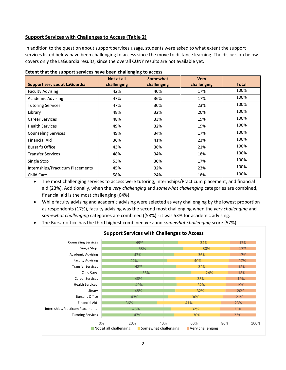### **Support Services with Challenges to Access (Table 2)**

In addition to the question about support services usage, students were asked to what extent the support services listed below have been challenging to access since the move to distance learning. The discussion below covers only the LaGuardia results, since the overall CUNY results are not available yet.

| <b>Support services at LaGuardia</b> | Not at all<br>challenging | <b>Somewhat</b><br>challenging | <b>Very</b><br>challenging | <b>Total</b> |
|--------------------------------------|---------------------------|--------------------------------|----------------------------|--------------|
| <b>Faculty Advising</b>              | 42%                       | 40%                            | 17%                        | 100%         |
| <b>Academic Advising</b>             | 47%                       | 36%                            | 17%                        | 100%         |
| <b>Tutoring Services</b>             | 47%                       | 30%                            | 23%                        | 100%         |
| Library                              | 48%                       | 32%                            | 20%                        | 100%         |
| <b>Career Services</b>               | 48%                       | 33%                            | 19%                        | 100%         |
| <b>Health Services</b>               | 49%                       | 32%                            | 19%                        | 100%         |
| <b>Counseling Services</b>           | 49%                       | 34%                            | 17%                        | 100%         |
| <b>Financial Aid</b>                 | 36%                       | 41%                            | 23%                        | 100%         |
| <b>Bursar's Office</b>               | 43%                       | 36%                            | 21%                        | 100%         |
| <b>Transfer Services</b>             | 48%                       | 34%                            | 18%                        | 100%         |
| Single Stop                          | 53%                       | 30%                            | 17%                        | 100%         |
| Internships/Practicum Placements     | 45%                       | 32%                            | 23%                        | 100%         |
| Child Care                           | 58%                       | 24%                            | 18%                        | 100%         |

#### **Extent that the support services have been challenging to access**

• The most challenging services to access were tutoring, internships/Practicum placement, and financial aid (23%). Additionally, when the *very challenging* and *somewhat challenging* categories are combined, financial aid is the most challenging (64%).

- While faculty advising and academic advising were selected as very challenging by the lowest proportion as respondents (17%), faculty advising was the second most challenging when the *very challenging* and *somewhat challenging* categories are combined ((58%) - it was 53% for academic advising.
- The Bursar office has the third highest combined *very* and *somewhat challenging* score (57%).

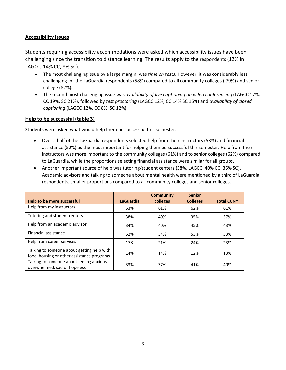# **Accessibility Issues**

Students requiring accessibility accommodations were asked which accessibility issues have been challenging since the transition to distance learning. The results apply to the respondents (12% in LAGCC, 14% CC, 8% SC).

- The most challenging issue by a large margin, was *time on tests*. However, it was considerably less challenging for the LaGuardia respondents (58%) compared to all community colleges ( 79%) and senior college (82%).
- The second most challenging issue was *availability of live captioning on video conferencing* (LAGCC 17%, CC 19%, SC 21%), followed by *test proctoring* (LAGCC 12%, CC 14% SC 15%) and *availability of closed captioning* (LAGCC 12%, CC 8%, SC 12%).

#### **Help to be successful (table 3)**

Students were asked what would help them be successful this semester.

- Over a half of the LaGuardia respondents selected help from their instructors (53%) and financial assistance (52%) as the most important for helping them be successful this semester. Help from their instructors was more important to the community colleges (61%) and to senior colleges (62%) compared to LaGuardia, while the proportions selecting financial assistance were similar for all groups.
- Another important source of help was tutoring/student centers (38%, LAGCC, 40% CC, 35% SC). Academic advisors and talking to someone about mental health were mentioned by a third of LaGuardia respondents, smaller proportions compared to all community colleges and senior colleges.

|                                                                                          |                  | <b>Community</b> | <b>Senior</b>   |                   |
|------------------------------------------------------------------------------------------|------------------|------------------|-----------------|-------------------|
| Help to be more successful                                                               | <b>LaGuardia</b> | colleges         | <b>Colleges</b> | <b>Total CUNY</b> |
| Help from my instructors                                                                 | 53%              | 61%              | 62%             | 61%               |
| Tutoring and student centers                                                             | 38%              | 40%              | 35%             | 37%               |
| Help from an academic advisor                                                            | 34%              | 40%              | 45%             | 43%               |
| Financial assistance                                                                     | 52%              | 54%              | 53%             | 53%               |
| Help from career services                                                                | 17&              | 21%              | 24%             | 23%               |
| Talking to someone about getting help with<br>food, housing or other assistance programs | 14%              | 14%              | 12%             | 13%               |
| Talking to someone about feeling anxious,<br>overwhelmed, sad or hopeless                | 33%              | 37%              | 41%             | 40%               |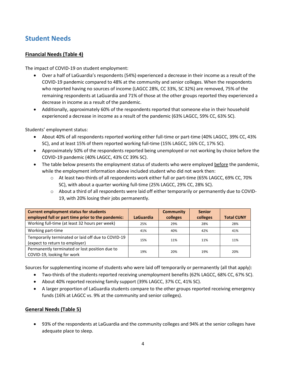# **Student Needs**

# **Financial Needs (Table 4)**

The impact of COVID-19 on student employment:

- Over a half of LaGuardia's respondents (54%) experienced a decrease in their income as a result of the COVID-19 pandemic compared to 48% at the community and senior colleges. When the respondents who reported having no sources of income (LAGCC 28%, CC 33%, SC 32%) are removed, 75% of the remaining respondents at LaGuardia and 71% of those at the other groups reported they experienced a decrease in income as a result of the pandemic.
- Additionally, approximately 60% of the respondents reported that someone else in their household experienced a decrease in income as a result of the pandemic (63% LAGCC, 59% CC, 63% SC).

Students' employment status:

- About 40% of all respondents reported working either full-time or part-time (40% LAGCC, 39% CC, 43% SC), and at least 15% of them reported working full-time (15% LAGCC, 16% CC, 17% SC).
- Approximately 50% of the respondents reported being unemployed or not working by choice before the COVID-19 pandemic (40% LAGCC, 43% CC 39% SC).
- The table below presents the employment status of students who were employed before the pandemic, while the employment information above included student who did not work then:
	- o At least two-thirds of all respondents work either full or part-time (65% LAGCC, 69% CC, 70% SC), with about a quarter working full-time (25% LAGCC, 29% CC, 28% SC).
	- o About a third of all respondents were laid off either temporarily or permanently due to COVID-19, with 20% losing their jobs permanently.

| <b>Current employment status for students</b><br>employed full or part time prior to the pandemic: | <b>LaGuardia</b> | <b>Community</b><br>colleges | <b>Senior</b><br>colleges | <b>Total CUNY</b> |
|----------------------------------------------------------------------------------------------------|------------------|------------------------------|---------------------------|-------------------|
| Working full-time (at least 32 hours per week)                                                     | 25%              | 29%                          | 28%                       | 28%               |
| Working part-time                                                                                  | 41%              | 40%                          | 42%                       | 41%               |
| Temporarily terminated or laid off due to COVID-19<br>(expect to return to employer)               | 15%              | 11%                          | 11%                       | 11%               |
| Permanently terminated or lost position due to<br>COVID-19, looking for work                       | 19%              | 20%                          | 19%                       | 20%               |

Sources for supplementing income of students who were laid off temporarily or permanently (all that apply):

- Two-thirds of the students reported receiving unemployment benefits (62% LAGCC, 68% CC, 67% SC).
- About 40% reported receiving family support (39% LAGCC, 37% CC, 41% SC).
- A larger proportion of LaGuardia students compare to the other groups reported receiving emergency funds (16% at LAGCC vs. 9% at the community and senior colleges).

# **General Needs (Table 5)**

• 93% of the respondents at LaGuardia and the community colleges and 94% at the senior colleges have adequate place to sleep.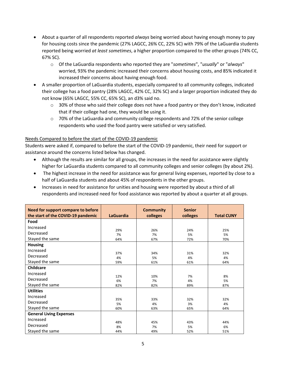- About a quarter of all respondents reported *always* being worried about having enough money to pay for housing costs since the pandemic (27% LAGCC, 26% CC, 22% SC) with 79% of the LaGuardia students reported being worried *at least sometimes*, a higher proportion compared to the other groups (74% CC, 67% SC).
	- o Of the LaGuardia respondents who reported they are "*sometimes*", "*usually*" or "*always*" worried, 93% the pandemic increased their concerns about housing costs, and 85% indicated it increased their concerns about having enough food.
- A smaller proportion of LaGuardia students, especially compared to all community colleges, indicated their college has a food pantry (28% LAGCC, 42% CC, 32% SC) and a larger proportion indicated they do not know (65% LAGCC, 55% CC, 65% SC), an d3% said no.
	- $\circ$  30% of those who said their college does not have a food pantry or they don't know, indicated that if their college had one, they would be using it.
	- o 70% of the LaGuardia and community college respondents and 72% of the senior college respondents who used the food pantry were satisfied or very satisfied.

# Needs Compared to before the start of the COVID-19 pandemic

Students were asked if, compared to before the start of the COVID-19 pandemic, their need for support or assistance around the concerns listed below has changed.

- Although the results are similar for all groups, the increases in the need for assistance were slightly higher for LaGuardia students compared to all community colleges and senior colleges (by about 2%).
- The highest increase in the need for assistance was for general living expenses, reported by close to a half of LaGuardia students and about 45% of respondents in the other groups.
- Increases in need for assistance for unities and housing were reported by about a third of all respondents and increased need for food assistance was reported by about a quarter at all groups.

| Need for support compare to before |                  | <b>Community</b> | <b>Senior</b> |                   |
|------------------------------------|------------------|------------------|---------------|-------------------|
| the start of the COVID-19 pandemic | <b>LaGuardia</b> | colleges         | colleges      | <b>Total CUNY</b> |
| Food                               |                  |                  |               |                   |
| Increased                          | 29%              | 26%              | 24%           | 25%               |
| Decreased                          | 7%               | 7%               | 5%            | 5%                |
| Stayed the same                    | 64%              | 67%              | 72%           | 70%               |
| <b>Housing</b>                     |                  |                  |               |                   |
| Increased                          | 37%              | 34%              | 31%           | 32%               |
| Decreased                          | 4%               | 5%               | 4%            | 4%                |
| Stayed the same                    | 59%              | 61%              | 61%           | 64%               |
| <b>Childcare</b>                   |                  |                  |               |                   |
| Increased                          |                  |                  |               |                   |
| Decreased                          | 12%<br>6%        | 10%<br>7%        | 7%<br>4%      | 8%<br>5%          |
| Stayed the same                    | 82%              | 82%              | 89%           | 87%               |
| <b>Utilities</b>                   |                  |                  |               |                   |
| Increased                          |                  |                  |               |                   |
| Decreased                          | 35%<br>5%        | 33%<br>4%        | 32%<br>3%     | 32%<br>4%         |
| Stayed the same                    | 60%              | 63%              | 65%           | 64%               |
| <b>General Living Expenses</b>     |                  |                  |               |                   |
| Increased                          |                  |                  |               |                   |
| Decreased                          | 48%<br>8%        | 45%<br>7%        | 43%<br>5%     | 44%<br>6%         |
| Stayed the same                    | 44%              | 49%              | 52%           | 51%               |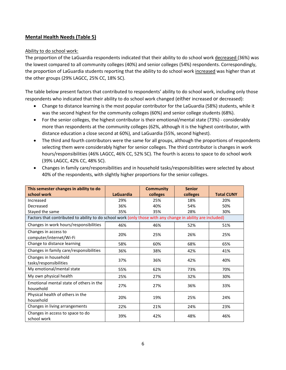# **Mental Health Needs (Table 5)**

#### Ability to do school work:

The proportion of the LaGuardia respondents indicated that their ability to do school work decreased (36%) was the lowest compared to all community colleges (40%) and senior colleges (54%) respondents. Correspondingly, the proportion of LaGuardia students reporting that the ability to do school work increased was higher than at the other groups (29% LAGCC, 25% CC, 18% SC).

The table below present factors that contributed to respondents' ability to do school work, including only those respondents who indicated that their ability to do school work changed (either increased or decreased):

- Change to distance learning is the most popular contributor for the LaGuardia (58%) students, while it was the second highest for the community colleges (60%) and senior college students (68%).
- For the senior colleges, the highest contributor is their emotional/mental state (73%) considerably more than respondents at the community colleges (62%, although it is the highest contributor, with distance education a close second at 60%), and LaGuardia (55%, second highest).
- The third and fourth contributors were the same for all groups, although the proportions of respondents selecting them were considerably higher for senior colleges. The third contributor is changes in work hours/responsibilities (46% LAGCC, 46% CC, 52% SC). The fourth is access to space to do school work (39% LAGCC, 42% CC, 48% SC).
- Changes in family care/responsibilities and in household tasks/responsibilities were selected by about 40% of the respondents, with slightly higher proportions for the senior colleges.

| This semester changes in ability to do                                                                     |                  | <b>Community</b> | <b>Senior</b> |                   |
|------------------------------------------------------------------------------------------------------------|------------------|------------------|---------------|-------------------|
| school work                                                                                                | <b>LaGuardia</b> | colleges         | colleges      | <b>Total CUNY</b> |
| Increased                                                                                                  | 29%              | 25%              | 18%           | 20%               |
| Decreased                                                                                                  | 36%              | 40%              | 54%           | 50%               |
| Stayed the same                                                                                            | 35%              | 35%              | 28%           | 30%               |
| Factors that contributed to ability to do school work (only those with any change in ability are included) |                  |                  |               |                   |
| Changes in work hours/responsibilities                                                                     | 46%              | 46%              | 52%           | 51%               |
| Changes in access to<br>computer/internet/Wi-Fi                                                            | 20%              | 25%              | 26%           | 25%               |
| Change to distance learning                                                                                | 58%              | 60%              | 68%           | 65%               |
| Changes in family care/responsibilities                                                                    | 36%              | 38%              | 42%           | 41%               |
| Changes in household<br>tasks/responsibilities                                                             | 37%              | 36%              | 42%           | 40%               |
| My emotional/mental state                                                                                  | 55%              | 62%              | 73%           | 70%               |
| My own physical health                                                                                     | 25%              | 27%              | 32%           | 30%               |
| Emotional mental state of others in the<br>household                                                       | 27%              | 27%              | 36%           | 33%               |
| Physical health of others in the<br>household                                                              | 20%              | 19%              | 25%           | 24%               |
| Changes in living arrangements                                                                             | 22%              | 21%              | 24%           | 23%               |
| Changes in access to space to do<br>school work                                                            | 39%              | 42%              | 48%           | 46%               |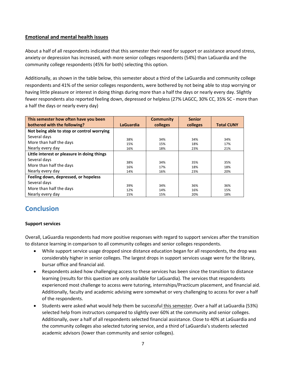# **Emotional and mental health issues**

About a half of all respondents indicated that this semester their need for support or assistance around stress, anxiety or depression has increased, with more senior colleges respondents (54%) than LaGuardia and the community college respondents (45% for both) selecting this option.

Additionally, as shown in the table below, this semester about a third of the LaGuardia and community college respondents and 41% of the senior colleges respondents, were bothered by not being able to stop worrying or having little pleasure or interest in doing things during more than a half the days or nearly every day. Slightly fewer respondents also reported feeling down, depressed or helpless (27% LAGCC, 30% CC, 35% SC - more than a half the days or nearly every day)

| This semester how often have you been       |                  | <b>Community</b> | <b>Senior</b> |                   |
|---------------------------------------------|------------------|------------------|---------------|-------------------|
| bothered with the following?                | <b>LaGuardia</b> | colleges         | colleges      | <b>Total CUNY</b> |
| Not being able to stop or control worrying  |                  |                  |               |                   |
| Several days                                | 38%              | 34%              | 34%           | 34%               |
| More than half the days                     | 15%              | 15%              | 18%           | 17%               |
| Nearly every day                            | 16%              | 18%              | 23%           | 21%               |
| Little interest or pleasure in doing things |                  |                  |               |                   |
| Several days                                |                  | 34%              |               |                   |
| More than half the days                     | 38%<br>16%       | 17%              | 35%<br>18%    | 35%<br>18%        |
| Nearly every day                            | 14%              | 16%              | 23%           | 20%               |
| Feeling down, depressed, or hopeless        |                  |                  |               |                   |
| Several days                                |                  |                  |               |                   |
| More than half the days                     | 39%<br>12%       | 34%<br>14%       | 36%<br>16%    | 36%<br>15%        |
| Nearly every day                            | 15%              | 15%              | 20%           | 18%               |

# **Conclusion**

#### **Support services**

Overall, LaGuardia respondents had more positive responses with regard to support services after the transition to distance learning in comparison to all community colleges and senior colleges respondents.

- While support service usage dropped since distance education began for all respondents, the drop was considerably higher in senior colleges. The largest drops in support services usage were for the library, bursar office and financial aid.
- Respondents asked how challenging access to these services has been since the transition to distance learning (results for this question are only available for LaGuardia). The services that respondents experienced most challenge to access were tutoring, internships/Practicum placement, and financial aid. Additionally, faculty and academic advising were somewhat or very challenging to access for over a half of the respondents.
- Students were asked what would help them be successful this semester. Over a half at LaGuardia (53%) selected help from instructors compared to slightly over 60% at the community and senior colleges. Additionally, over a half of all respondents selected financial assistance. Close to 40% at LaGuardia and the community colleges also selected tutoring service, and a third of LaGuardia's students selected academic advisors (lower than community and senior colleges).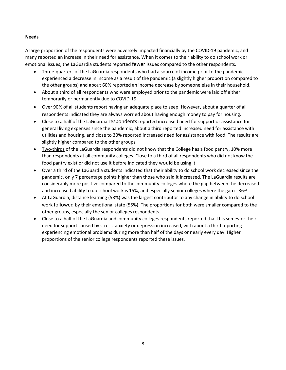#### **Needs**

A large proportion of the respondents were adversely impacted financially by the COVID-19 pandemic, and many reported an increase in their need for assistance. When it comes to their ability to do school work or emotional issues, the LaGuardia students reported fewer issues compared to the other respondents.

- Three-quarters of the LaGuardia respondents who had a source of income prior to the pandemic experienced a decrease in income as a result of the pandemic (a slightly higher proportion compared to the other groups) and about 60% reported an income decrease by someone else in their household.
- About a third of all respondents who were employed prior to the pandemic were laid off either temporarily or permanently due to COVID-19.
- Over 90% of all students report having an adequate place to seep. However, about a quarter of all respondents indicated they are always worried about having enough money to pay for housing.
- Close to a half of the LaGuardia respondents reported increased need for support or assistance for general living expenses since the pandemic, about a third reported increased need for assistance with utilities and housing, and close to 30% reported increased need for assistance with food. The results are slightly higher compared to the other groups.
- Two-thirds of the LaGuardia respondents did not know that the College has a food pantry, 10% more than respondents at all community colleges. Close to a third of all respondents who did not know the food pantry exist or did not use it before indicated they would be using it.
- Over a third of the LaGuardia students indicated that their ability to do school work decreased since the pandemic, only 7 percentage points higher than those who said it increased. The LaGuardia results are considerably more positive compared to the community colleges where the gap between the decreased and increased ability to do school work is 15%, and especially senior colleges where the gap is 36%.
- At LaGuardia, distance learning (58%) was the largest contributor to any change in ability to do school work followed by their emotional state (55%). The proportions for both were smaller compared to the other groups, especially the senior colleges respondents.
- Close to a half of the LaGuardia and community colleges respondents reported that this semester their need for support caused by stress, anxiety or depression increased, with about a third reporting experiencing emotional problems during more than half of the days or nearly every day. Higher proportions of the senior college respondents reported these issues.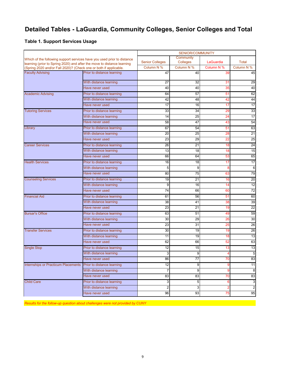# **Detailed Tables - LaGuardia, Community Colleges, Senior Colleges and Total**

#### **Table 1. Support Services Usage**

|                                                                                              |                            | <b>SENIOR/COMMUNITY</b> |                  |                  |                  |  |
|----------------------------------------------------------------------------------------------|----------------------------|-------------------------|------------------|------------------|------------------|--|
| Which of the following support services have you used prior to distance                      |                            |                         | Community        |                  |                  |  |
| learning (prior to Spring 2020) and after the move to distance learning                      |                            | <b>Senior Colleges</b>  | <b>Colleges</b>  | LaGuardia        | Total            |  |
| (Spring 2020 and/or Fall 2020)? (Check one or both if applicable.<br><b>Faculty Advising</b> | Prior to distance learning | Column N %<br>47        | Column N %<br>40 | Column N %<br>39 | Column N %<br>45 |  |
|                                                                                              |                            |                         |                  |                  |                  |  |
|                                                                                              | With distance learning     | 27                      | 32               | 31               | 29               |  |
|                                                                                              | Have never used            | 40                      | 40               | 35               | 40               |  |
| <b>Academic Advising</b>                                                                     | Prior to distance learning | 64                      | 57               | 51               | 62               |  |
|                                                                                              | With distance learning     | 42                      | 48               | 42               | 44               |  |
|                                                                                              | Have never used            | 17                      | 16               | 17               | 17               |  |
| <b>Tutoring Services</b>                                                                     | Prior to distance learning | 33                      | 34               | 29               | 33               |  |
|                                                                                              | With distance learning     | 14                      | 25               | 24               | 17               |  |
|                                                                                              | Have never used            | 58                      | 47               | 43               | 54               |  |
| Library                                                                                      | Prior to distance learning | 67                      | 54               | 51               | 63               |  |
|                                                                                              | With distance learning     | 20                      | 25               | 28               | 21               |  |
|                                                                                              | Have never used            | 23                      | 29               | 22               | 25               |  |
| <b>Career Services</b>                                                                       | Prior to distance learning | 26                      | 21               | 18               | 24               |  |
|                                                                                              | With distance learning     | 13                      | 18               | 18               | 15               |  |
|                                                                                              | Have never used            | 66                      | 64               | 53               | 65               |  |
| <b>Health Services</b>                                                                       | Prior to distance learning | 16                      | 18               | 17               | 17               |  |
|                                                                                              | With distance learning     | 5                       | 9                | 8                | 6                |  |
|                                                                                              | Have never used            | 80                      | 75               | 63               | 79               |  |
| <b>Counseling Services</b>                                                                   | Prior to distance learning | 19                      | 21               | 16               | 20               |  |
|                                                                                              | With distance learning     | 9                       | 16               | 14               | 12               |  |
|                                                                                              | Have never used            | 74                      | 66               | 60               | $\overline{72}$  |  |
| <b>Financial Aid</b>                                                                         | Prior to distance learning | 61                      | 56               | 51               | 60               |  |
|                                                                                              | With distance learning     | 38                      | 41               | 38               | 39               |  |
|                                                                                              | Have never used            | 23                      | 21               | 19               | $\overline{22}$  |  |
| <b>Bursar's Office</b>                                                                       | Prior to distance learning | 63                      | 51               | 49               | 59               |  |
|                                                                                              | With distance learning     | 30                      | 29               | 26               | 30               |  |
|                                                                                              | Have never used            | 23                      | 31               | 25               | 26               |  |
| <b>Transfer Services</b>                                                                     | Prior to distance learning | 30                      | 19               | 19               | 26               |  |
|                                                                                              | With distance learning     | 11                      | 19               | 18               | 13               |  |
|                                                                                              | Have never used            | 62                      | 66               | 52               | 63               |  |
| <b>Single Stop</b>                                                                           | Prior to distance learning | 12                      | 15               | 13               | 13               |  |
|                                                                                              | With distance learning     | 3                       | $\overline{9}$   | 4                | 5                |  |
|                                                                                              | Have never used            | 86                      | 77               | 70               | 83               |  |
| <b>Internships or Practicum Placements</b>                                                   | Prior to distance learning | 12                      | 9                | 9                | 11               |  |
|                                                                                              | With distance learning     | 7                       | 9                | 9                | 8                |  |
|                                                                                              | Have never used            | 83                      | 83               | 70               | 83               |  |
| <b>Child Care</b>                                                                            | Prior to distance learning | 3                       | 5                | 6                | 3                |  |
|                                                                                              | With distance learning     | $\overline{c}$          | 3                | $\overline{2}$   | $\overline{2}$   |  |
|                                                                                              | Have never used            | 96                      | 93               | 75               | 95               |  |

*Results for the follow-up question about challenges were not provided by CUNY* **<b>***Results for the follow-up question about challenges were not provided by CUNY*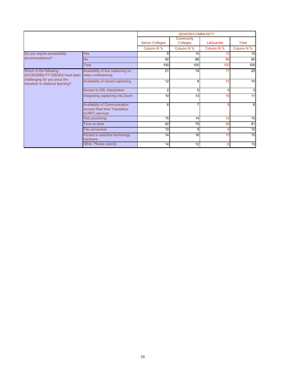|                                                                   |                                                                                                |                        | <b>SENIOR/COMMUNITY</b> |                 |              |
|-------------------------------------------------------------------|------------------------------------------------------------------------------------------------|------------------------|-------------------------|-----------------|--------------|
|                                                                   |                                                                                                | <b>Senior Colleges</b> | Community<br>Colleges   | LaGuardia       | <b>Total</b> |
|                                                                   |                                                                                                | Column N %             | Column N %              | Column N %      | Column N %   |
| Do you require accessibility                                      | <b>Yes</b>                                                                                     | 8                      | 14                      | 12              | 10           |
| accommodations?                                                   | <b>No</b>                                                                                      | 92                     | 86                      | 88              | 90           |
|                                                                   | Total                                                                                          | 100                    | 100                     | 100             | 100          |
| Which of the following<br><b>ACCESSIBILITY ISSUES have been</b>   | Availability of live captioning on<br>video conferencing                                       | $\overline{21}$        | 19                      | 17              | 20           |
| challenging for you since the<br>transition to distance learning? | Availability of closed captioning                                                              | 12                     | 8                       | 12              | 10           |
|                                                                   | Access to ASL interpreters                                                                     | $\overline{2}$         | 5                       | 9               | 3            |
|                                                                   | Integrating captioning into Zoom                                                               | 10                     | 13                      | 15              | 11           |
|                                                                   | <b>Availability of Communication</b><br><b>Access Real time Translation</b><br>(CART) services | 6                      |                         | 9               | 6            |
|                                                                   | <b>Test proctoring</b>                                                                         | 15                     | 14                      | 12              | 15           |
|                                                                   | Time on tests                                                                                  | 82                     | 79                      | 58              | 81           |
|                                                                   | File conversion                                                                                | 10                     | 9                       | 6               | 10           |
|                                                                   | Access to assistive technology<br>hardware                                                     | 14                     | 16                      | 10 <sup>1</sup> | 15           |
|                                                                   | Other. Please specify:                                                                         | 14                     | 12                      | 6               | 13           |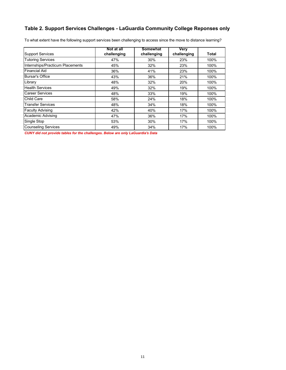# **Table 2. Support Services Challenges - LaGuardia Community College Reponses only**

To what extent have the following support services been challenging to access since the move to distance learning?

|                                  | Not at all  | <b>Somewhat</b> | Very        |       |
|----------------------------------|-------------|-----------------|-------------|-------|
| <b>Support Services</b>          | challenging | challenging     | challenging | Total |
| <b>Tutoring Services</b>         | 47%         | 30%             | 23%         | 100%  |
| Internships/Practicum Placements | 45%         | 32%             | 23%         | 100%  |
| <b>Financial Aid</b>             | 36%         | 41%             | 23%         | 100%  |
| <b>Bursar's Office</b>           | 43%         | 36%             | 21%         | 100%  |
| Library                          | 48%         | 32%             | 20%         | 100%  |
| <b>Health Services</b>           | 49%         | 32%             | 19%         | 100%  |
| <b>Career Services</b>           | 48%         | 33%             | 19%         | 100%  |
| Child Care                       | 58%         | 24%             | 18%         | 100%  |
| <b>Transfer Services</b>         | 48%         | 34%             | 18%         | 100%  |
| <b>Faculty Advising</b>          | 42%         | 40%             | 17%         | 100%  |
| Academic Advising                | 47%         | 36%             | 17%         | 100%  |
| Single Stop                      | 53%         | 30%             | 17%         | 100%  |
| <b>Counseling Services</b>       | 49%         | 34%             | 17%         | 100%  |

*CUNY did not provide tables for the challenges. Below are only LaGuardia's Data*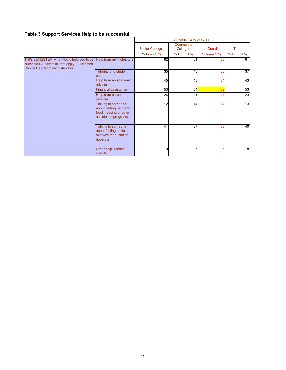# **Table 3 Support Services Help to be successful**

|                                                                                                                                |                                                                                                 | SENIOR/COMMUNITY       |                       |            |                 |
|--------------------------------------------------------------------------------------------------------------------------------|-------------------------------------------------------------------------------------------------|------------------------|-----------------------|------------|-----------------|
|                                                                                                                                |                                                                                                 | <b>Senior Colleges</b> | Community<br>Colleges | LaGuardia  | <b>Total</b>    |
|                                                                                                                                |                                                                                                 | Column N %             | Column N %            | Column N % | Column N %      |
| THIS SEMESTER, what would help you to be<br>successful? (Select all that apply.) - Selected<br>Choice Help from my instructors | Help from my instructors                                                                        | 62                     | 61                    | 53         | 61              |
|                                                                                                                                | Tutoring and student<br>centers                                                                 | 35                     | 40                    | 38         | 37              |
|                                                                                                                                | Help from an academic<br>advisor                                                                | 45                     | 40                    | 34         | $\overline{43}$ |
|                                                                                                                                | <b>Financial assistance</b>                                                                     | 53                     | 54                    | 52         | 53              |
|                                                                                                                                | Help from career<br>services                                                                    | 24                     | 21                    | 17         | 23              |
|                                                                                                                                | Talking to someone<br>about getting help with<br>food, housing or other<br>assistance programs. | 12                     | 14                    | 14         | 13              |
|                                                                                                                                | Talking to someone<br>about feeling anxious,<br>overwhelmed, sad or<br>hopeless                 | 41                     | 37                    | 33         | 40              |
|                                                                                                                                | Other help. Please<br>specify:                                                                  | 9                      |                       | 5          | 8               |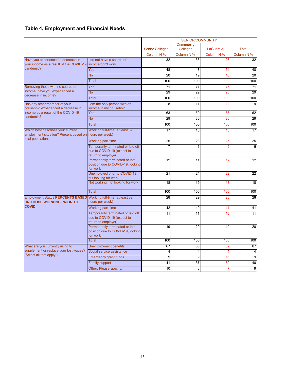# **Table 4. Employment and Financial Needs**

|                                                                             |                                                                                         | <b>SENIOR/COMMUNITY</b> |                              |            |                 |
|-----------------------------------------------------------------------------|-----------------------------------------------------------------------------------------|-------------------------|------------------------------|------------|-----------------|
|                                                                             |                                                                                         | <b>Senior Colleges</b>  | Community<br><b>Colleges</b> | LaGuardia  | <b>Total</b>    |
|                                                                             |                                                                                         | Column N %              | Column N %                   | Column N % | Column N %      |
| Have you experienced a decrease in                                          | do not have a source of                                                                 | 32                      | 33                           | 28         | 32              |
| your income as a result of the COVID-19                                     | income/don't work                                                                       |                         |                              |            |                 |
| pandemic?                                                                   | Yes                                                                                     | 48                      | 48                           | 54         | 48              |
|                                                                             | <b>No</b>                                                                               | $\overline{20}$         | $\overline{19}$              | 18         | $\overline{20}$ |
|                                                                             | <b>Total</b>                                                                            | 100                     | 100                          | 100        | 100             |
| Removing those with no source of                                            | Yes                                                                                     | 71                      | 71                           | 75         | 71              |
| income, have you experienced a<br>decrease in income?                       | <b>No</b>                                                                               | 29                      | 29                           | 25         | 29              |
|                                                                             | <b>Total</b>                                                                            | 100                     | 100                          | 100        | 100             |
| Has any other member of your                                                | I am the only person with an                                                            | 8                       | 11                           | 12         | 9               |
| household experienced a decrease in<br>income as a result of the COVID-19   | income in my household<br>Yes                                                           | 63                      | 59                           | 63         | 62              |
| pandemic?                                                                   | <b>No</b>                                                                               | 29                      | 30                           | 26         | 29              |
|                                                                             | <b>Total</b>                                                                            | 100                     | 100                          | 100        | 100             |
| Which best describes your current                                           | Working full-time (at least 32                                                          | 17                      | 16                           | 15         | 17              |
| employment situation? Percent based on hours per week)<br>total population. |                                                                                         |                         |                              |            |                 |
|                                                                             | Working part-time                                                                       | 25                      | 23                           | 25         | 25              |
|                                                                             | Temporarily terminated or laid off<br>due to COVID-19 (expect to<br>return to employer) | 7                       | 6                            | g          | 6               |
|                                                                             | Permanently terminated or lost<br>position due to COVID-19, looking<br>for work         | $\overline{12}$         | 11                           | 12         | 12              |
|                                                                             | Unemployed prior to COVID-19,<br>but looking for work                                   | 21                      | 24                           | 22         | 22              |
|                                                                             | Not working, not looking for work                                                       | 18                      | 19                           | 18         | 18              |
|                                                                             | <b>Total</b>                                                                            | 100                     | 100                          | 100        | 100             |
| <b>Employment Status PERCENTS BASED</b><br>ON THOSE WORKING PRIOR TO        | Working full-time (at least 32<br>hours per week)                                       | 28                      | 29                           | 25         | 28              |
| <b>COVID</b>                                                                | Working part-time                                                                       | 42                      | 40                           | 41         | 41              |
|                                                                             | Temporarily terminated or laid off<br>due to COVID-19 (expect to<br>return to employer) | 11                      | 11                           | 15         | 11              |
|                                                                             | Permanently terminated or lost<br>position due to COVID-19, looking<br>for work         | 19                      | 20                           | 19         | 20              |
|                                                                             | <b>Total</b>                                                                            | 100                     | 100                          | 100        | 100             |
| What are you currently using to                                             | <b>Unemployment benefits</b>                                                            | 67                      | 68                           | 62         | 67              |
| supplement or replace your lost wages?                                      | Social service assistance                                                               | $\overline{4}$          | 4                            |            | 4               |
| (Select all that apply.)                                                    | Emergency grant funds                                                                   | 9                       | 9                            | 16         | 9               |
|                                                                             | <b>Family support</b>                                                                   | 41                      | $\overline{37}$              | 39         | 40              |
|                                                                             | Other. Please specify:                                                                  | 10                      | 8                            |            | $\overline{9}$  |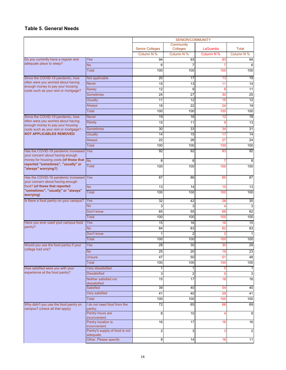#### **Table 5. General Needs**

|                                                                              |                                                      | <b>SENIOR/COMMUNITY</b> |                              |                |                 |  |
|------------------------------------------------------------------------------|------------------------------------------------------|-------------------------|------------------------------|----------------|-----------------|--|
|                                                                              |                                                      | <b>Senior Colleges</b>  | Community<br><b>Colleges</b> | LaGuardia      | <b>Total</b>    |  |
|                                                                              |                                                      | Column N %              | Column N %                   | Column N %     | Column N %      |  |
| Do you currently have a regular and                                          | Yes                                                  | 94                      | 93                           | 93             | 94              |  |
| adequate place to sleep?                                                     | <b>No</b>                                            | 6                       | 7                            |                | 6               |  |
|                                                                              | <b>Total</b>                                         | 100                     | 100                          | 100            | 100             |  |
| Since the COVID-19 pandemic, how                                             | Not applicable                                       | 20                      | 17                           | 13             | 19              |  |
| often were you worried about having                                          | <b>Never</b>                                         | 15                      | 13                           | 11             | 14              |  |
| enough money to pay your housing<br>costs such as your rent or mortgage?     | Rarely                                               | 12                      | 9                            | 8              | 11              |  |
|                                                                              | <b>Sometimes</b>                                     | 24                      | 27                           | 30             | $\overline{25}$ |  |
|                                                                              | <b>Usually</b>                                       | 11                      | 12                           | 15             | 12              |  |
|                                                                              | <b>Always</b>                                        | 18                      | $\overline{22}$              | 24             | 19              |  |
|                                                                              | Total                                                | 100                     | 100                          | 100            | 100             |  |
| Since the COVID-19 pandemic, how                                             | <b>Never</b>                                         | 19                      | 16                           | 12             | 18              |  |
| often were you worried about having                                          | Rarely                                               | 15                      | 11                           | 9              | 13              |  |
| enough money to pay your housing<br>costs such as your rent or mortgage? -   | <b>Sometimes</b>                                     | 30                      | 33                           | 34             | 31              |  |
| <b>NOT APPLICABLES REMOVED</b>                                               | <b>Usually</b>                                       | 14                      | 15                           | 17             | 14              |  |
|                                                                              | <b>Always</b>                                        | 22                      | 26                           | 27             | 24              |  |
|                                                                              | <b>Total</b>                                         | 100                     | 100                          | 100            | 100             |  |
| Has the COVID-19 pandemic increased                                          | <b>Yes</b>                                           | 92                      | 92                           | 93             | 92              |  |
| your concern about having enough                                             |                                                      |                         |                              |                |                 |  |
| money for housing costs (of those that<br>reported "sometimes", "usually" or | <b>No</b>                                            | 8                       | 8                            | 7              | 8               |  |
| "always" worrying?)                                                          | <b>Total</b>                                         | 100                     | 100                          | 100            | 100             |  |
| Has the COVID-19 pandemic increased Yes<br>your concern about having enough  |                                                      | 87                      | 86                           | 85             | 87              |  |
| food? (of those that reported                                                | <b>No</b>                                            | 13                      | 14                           | 15             | 13              |  |
| "sometimes", "usually" or "always"<br>worrying)                              | Total                                                | 100                     | 100                          | 100            | 100             |  |
| Is there a food pantry on your campus?                                       | <b>Yes</b>                                           | 32                      | 42                           | 28             | 35              |  |
|                                                                              | <b>No</b>                                            | 3                       | 3                            | 4              | 3               |  |
|                                                                              | Don't know                                           | 65                      | 55                           | 68             | 62              |  |
|                                                                              | <b>Total</b>                                         | 100                     | 100                          | 100            | 100             |  |
| Have you ever used your campus food                                          | Yes                                                  | 15                      | 16                           | 16             | 15              |  |
| pantry?                                                                      | <b>No</b>                                            | 84                      | 83                           | 82             | 83              |  |
|                                                                              | Don't know                                           |                         | $\overline{c}$               | $\overline{2}$ | 1               |  |
|                                                                              | <b>Total</b>                                         | 100                     | 100                          | 100            | 100             |  |
| Would you use the food pantry if your                                        | Yes                                                  | 28                      | 30                           | 30             | 29              |  |
| college had one?                                                             | <b>No</b>                                            | 25                      | 20                           | 19             | 23              |  |
|                                                                              | <b>Unsure</b>                                        | 47                      | 50                           | 51             | 48              |  |
|                                                                              | Total                                                | 100                     | 100                          | 100            | 100             |  |
| How satisfied were you with your                                             | Very dissatisfied                                    | 1                       | 1                            | $\mathbf 0$    | $\vert$         |  |
| experience at the food pantry?                                               | <b>Dissatisfied</b>                                  | 3                       | $\overline{\mathbf{c}}$      | $\mathbf{0}$   | دى              |  |
|                                                                              | Neither satisfied nor<br>dissatisfied                | 15                      | 17                           | 18             | 16              |  |
|                                                                              | <b>Satisfied</b>                                     | 39                      | 40                           | 54             | 40              |  |
|                                                                              | Very satisfied                                       | 41                      | 40                           | 29             | 41              |  |
|                                                                              | <b>Total</b>                                         | 100                     | 100                          | 100            | 100             |  |
| Why didn't you use the food pantry on<br>campus? (check all that apply)      | I do not need food from the                          | 72                      | 65                           | 66             | 69              |  |
|                                                                              | pantry.<br>Pantry hours are                          | 8                       | 10                           | 4              | 9               |  |
|                                                                              | inconvenient.<br>Pantry location is<br>inconvenient. | 16                      | 17                           | 16             | 16              |  |
|                                                                              | Pantry's supply of food is not<br>adequate.          | $\overline{2}$          | 3                            | 3              | $\overline{c}$  |  |
|                                                                              | Other. Please specify:                               | 9                       | 14                           | 16             | 11              |  |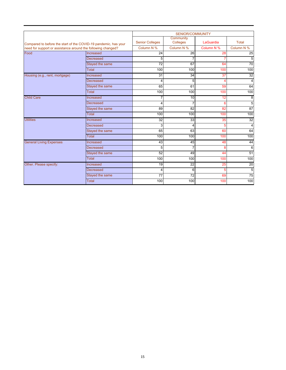|                                                                                                                                 |                  | <b>SENIOR/COMMUNITY</b> |                              |                |                 |  |  |
|---------------------------------------------------------------------------------------------------------------------------------|------------------|-------------------------|------------------------------|----------------|-----------------|--|--|
| Compared to before the start of the COVID-19 pandemic, has your<br>need for support or assistance around the following changed? |                  | <b>Senior Colleges</b>  | Community<br><b>Colleges</b> | LaGuardia      | Total           |  |  |
|                                                                                                                                 |                  | Column N %              | Column N %                   | Column N %     | Column N %      |  |  |
| Food                                                                                                                            | Increased        | 24                      | 26                           | 28             | 25              |  |  |
|                                                                                                                                 | <b>Decreased</b> | 5                       | $\overline{7}$               | $\overline{7}$ | 5               |  |  |
|                                                                                                                                 | Stayed the same  | $\overline{72}$         | 67                           | 64             | $\overline{70}$ |  |  |
|                                                                                                                                 | <b>Total</b>     | 100                     | 100                          | 100            | 100             |  |  |
| Housing (e.g., rent, mortgage)                                                                                                  | Increased        | 31                      | $\overline{34}$              | 37             | 32              |  |  |
|                                                                                                                                 | <b>Decreased</b> | 4                       | 5                            | Δ              | $\overline{4}$  |  |  |
|                                                                                                                                 | Stayed the same  | 65                      | 61                           | 59             | 64              |  |  |
|                                                                                                                                 | <b>Total</b>     | 100                     | 100                          | 100            | 100             |  |  |
| <b>Child Care</b>                                                                                                               | Increased        |                         | 10                           | 12             | 8               |  |  |
|                                                                                                                                 | <b>Decreased</b> | $\overline{\mathbf{4}}$ | $\overline{7}$               | 6              | $\overline{5}$  |  |  |
|                                                                                                                                 | Stayed the same  | 89                      | 82                           | 82             | $\overline{87}$ |  |  |
|                                                                                                                                 | Total            | 100                     | 100                          | 100            | 100             |  |  |
| <b>Utilities</b>                                                                                                                | Increased        | 32                      | 33                           | 35             | 32              |  |  |
|                                                                                                                                 | Decreased        | 3                       | 4                            | 5              | 4               |  |  |
|                                                                                                                                 | Stayed the same  | 65                      | 63                           | 60             | 64              |  |  |
|                                                                                                                                 | Total            | 100                     | 100                          | 100            | 100             |  |  |
| <b>General Living Expenses</b>                                                                                                  | Increased        | 43                      | 45                           | 48             | 44              |  |  |
|                                                                                                                                 | Decreased        | 5                       | $\overline{7}$               | 8              | 6               |  |  |
|                                                                                                                                 | Stayed the same  | 52                      | 49                           | 44             | 51              |  |  |
|                                                                                                                                 | <b>Total</b>     | 100                     | 100                          | 100            | 100             |  |  |
| Other. Please specify:                                                                                                          | Increased        | 19                      | $\overline{22}$              | 25             | $\overline{20}$ |  |  |
|                                                                                                                                 | Decreased        | 4                       | 6                            | 5              | $\overline{5}$  |  |  |
|                                                                                                                                 | Stayed the same  | 77                      | 72                           | 69             | 75              |  |  |
|                                                                                                                                 | Total            | 100                     | 100                          | 100            | 100             |  |  |